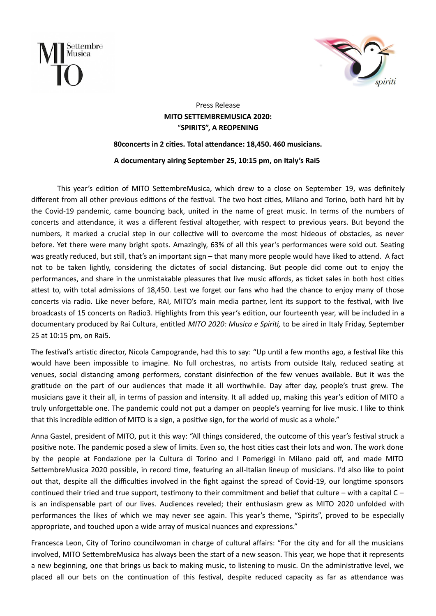



## Press Release MITO SETTEMBREMUSICA 2020: "SPIRITS", A REOPENING

## 80 concerts in 2 cities. Total attendance: 18,450. 460 musicians.

A documentary airing September 25, 10:15 pm, on Italy's Rai5

This year's edition of MITO SettembreMusica, which drew to a close on September 19, was definitely different from all other previous editions of the festival. The two host cities, Milano and Torino, both hard hit by the Covid-19 pandemic, came bouncing back, united in the name of great music. In terms of the numbers of concerts and attendance, it was a different festival altogether, with respect to previous years. But beyond the numbers, it marked a crucial step in our collective will to overcome the most hideous of obstacles, as never before. Yet there were many bright spots. Amazingly, 63% of all this year's performances were sold out. Seating was greatly reduced, but still, that's an important sign - that many more people would have liked to attend. A fact not to be taken lightly, considering the dictates of social distancing. But people did come out to enjoy the performances, and share in the unmistakable pleasures that live music affords, as ticket sales in both host cities attest to, with total admissions of 18,450. Lest we forget our fans who had the chance to enjoy many of those concerts via radio. Like never before, RAI, MITO's main media partner, lent its support to the festival, with live broadcasts of 15 concerts on Radio3. Highlights from this year's edition, our fourteenth year, will be included in a documentary produced by Rai Cultura, entitled MITO 2020: Musica e Spiriti, to be aired in Italy Friday, September 25 at 10:15 pm, on Rai5.

The festival's artistic director, Nicola Campogrande, had this to say: "Up until a few months ago, a festival like this would have been impossible to imagine. No full orchestras, no artists from outside Italy, reduced seating at venues, social distancing among performers, constant disinfection of the few venues available. But it was the gratitude on the part of our audiences that made it all worthwhile. Day after day, people's trust grew. The musicians gave it their all, in terms of passion and intensity. It all added up, making this year's edition of MITO a truly unforgettable one. The pandemic could not put a damper on people's yearning for live music. I like to think that this incredible edition of MITO is a sign, a positive sign, for the world of music as a whole."

Anna Gastel, president of MITO, put it this way: "All things considered, the outcome of this year's festival struck a positive note. The pandemic posed a slew of limits. Even so, the host cities cast their lots and won. The work done by the people at Fondazione per la Cultura di Torino and I Pomeriggi in Milano paid off, and made MITO SettembreMusica 2020 possible, in record time, featuring an all-Italian lineup of musicians. I'd also like to point out that, despite all the difficulties involved in the fight against the spread of Covid-19, our longtime sponsors continued their tried and true support, testimony to their commitment and belief that culture – with a capital  $C$ is an indispensable part of our lives. Audiences reveled; their enthusiasm grew as MITO 2020 unfolded with performances the likes of which we may never see again. This year's theme, "Spirits", proved to be especially appropriate, and touched upon a wide array of musical nuances and expressions."

Francesca Leon, City of Torino councilwoman in charge of cultural affairs: "For the city and for all the musicians involved, MITO SettembreMusica has always been the start of a new season. This year, we hope that it represents a new beginning, one that brings us back to making music, to listening to music. On the administrative level, we placed all our bets on the continuation of this festival, despite reduced capacity as far as attendance was